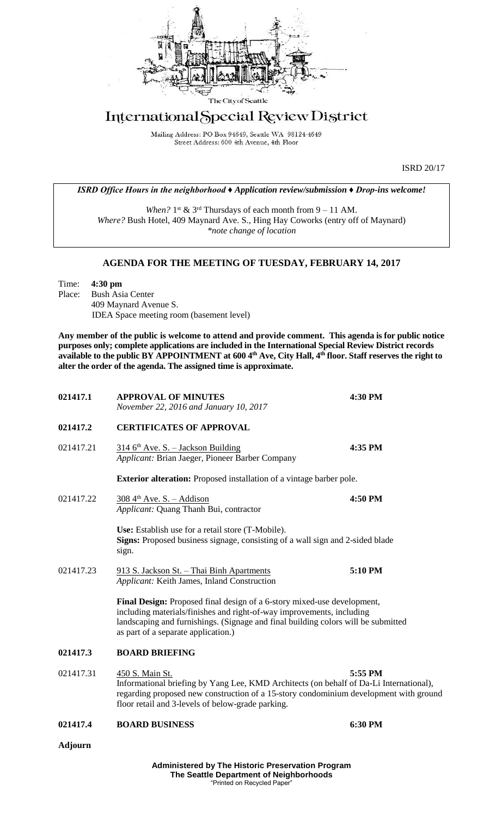

## International Special Review District

Mailing Address: PO Box 94649, Seattle WA 98124-4649 Street Address: 600 4th Avenue, 4th Floor

ISRD 20/17

*ISRD Office Hours in the neighborhood ♦ Application review/submission ♦ Drop-ins welcome!*

When?  $1^{st}$  &  $3^{rd}$  Thursdays of each month from  $9 - 11$  AM. *Where?* Bush Hotel, 409 Maynard Ave. S., Hing Hay Coworks (entry off of Maynard) *\*note change of location*

## **AGENDA FOR THE MEETING OF TUESDAY, FEBRUARY 14, 2017**

Time: **4:30 pm** Place: Bush Asia Center 409 Maynard Avenue S. IDEA Space meeting room (basement level)

**Any member of the public is welcome to attend and provide comment. This agenda is for public notice purposes only; complete applications are included in the International Special Review District records available to the public BY APPOINTMENT at 600 4th Ave, City Hall, 4th floor. Staff reserves the right to alter the order of the agenda. The assigned time is approximate.** 

| 021417.1       | <b>APPROVAL OF MINUTES</b><br>November 22, 2016 and January 10, 2017                                                                                                                                                                                                         | 4:30 PM |
|----------------|------------------------------------------------------------------------------------------------------------------------------------------------------------------------------------------------------------------------------------------------------------------------------|---------|
| 021417.2       | <b>CERTIFICATES OF APPROVAL</b>                                                                                                                                                                                                                                              |         |
| 021417.21      | $314.6$ <sup>th</sup> Ave. S. - Jackson Building<br>Applicant: Brian Jaeger, Pioneer Barber Company                                                                                                                                                                          | 4:35 PM |
|                | <b>Exterior alteration:</b> Proposed installation of a vintage barber pole.                                                                                                                                                                                                  |         |
| 021417.22      | $3084^{\text{th}}$ Ave. S. – Addison<br>Applicant: Quang Thanh Bui, contractor                                                                                                                                                                                               | 4:50 PM |
|                | Use: Establish use for a retail store (T-Mobile).<br>Signs: Proposed business signage, consisting of a wall sign and 2-sided blade<br>sign.                                                                                                                                  |         |
| 021417.23      | 913 S. Jackson St. - Thai Binh Apartments<br>Applicant: Keith James, Inland Construction                                                                                                                                                                                     | 5:10 PM |
|                | Final Design: Proposed final design of a 6-story mixed-use development,<br>including materials/finishes and right-of-way improvements, including<br>landscaping and furnishings. (Signage and final building colors will be submitted<br>as part of a separate application.) |         |
| 021417.3       | <b>BOARD BRIEFING</b>                                                                                                                                                                                                                                                        |         |
| 021417.31      | 450 S. Main St.<br>Informational briefing by Yang Lee, KMD Architects (on behalf of Da-Li International),<br>regarding proposed new construction of a 15-story condominium development with ground<br>floor retail and 3-levels of below-grade parking.                      | 5:55 PM |
| 021417.4       | <b>BOARD BUSINESS</b>                                                                                                                                                                                                                                                        | 6:30 PM |
| <b>Adjourn</b> |                                                                                                                                                                                                                                                                              |         |

**Administered by The Historic Preservation Program The Seattle Department of Neighborhoods** "Printed on Recycled Paper"